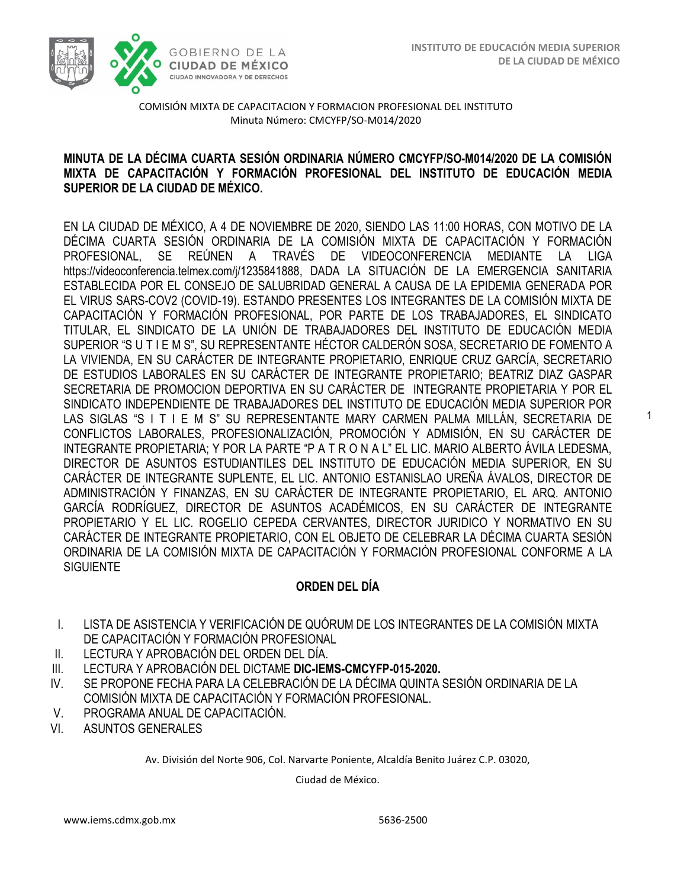1



COMISIÓN MIXTA DE CAPACITACION Y FORMACION PROFESIONAL DEL INSTITUTO Minuta Número: CMCYFP/SO-M014/2020

### **MINUTA DE LA DÉCIMA CUARTA SESIÓN ORDINARIA NÚMERO CMCYFP/SO-M014/2020 DE LA COMISIÓN MIXTA DE CAPACITACIÓN Y FORMACIÓN PROFESIONAL DEL INSTITUTO DE EDUCACIÓN MEDIA SUPERIOR DE LA CIUDAD DE MÉXICO.**

EN LA CIUDAD DE MÉXICO, A 4 DE NOVIEMBRE DE 2020, SIENDO LAS 11:00 HORAS, CON MOTIVO DE LA DÉCIMA CUARTA SESIÓN ORDINARIA DE LA COMISIÓN MIXTA DE CAPACITACIÓN Y FORMACIÓN PROFESIONAL, SE REÚNEN A TRAVÉS DE VIDEOCONFERENCIA MEDIANTE LA LIG[A](https://videoconferencia.telmex.com/j/1235841888) [https://videoconferencia.telmex.com/j/1235841888,](https://videoconferencia.telmex.com/j/1235841888) DADA LA SITUACIÓN DE LA EMERGENCIA SANITARIA ESTABLECIDA POR EL CONSEJO DE SALUBRIDAD GENERAL A CAUSA DE LA EPIDEMIA GENERADA POR EL VIRUS SARS-COV2 (COVID-19). ESTANDO PRESENTES LOS INTEGRANTES DE LA COMISIÓN MIXTA DE CAPACITACIÓN Y FORMACIÓN PROFESIONAL, POR PARTE DE LOS TRABAJADORES, EL SINDICATO TITULAR, EL SINDICATO DE LA UNIÓN DE TRABAJADORES DEL INSTITUTO DE EDUCACIÓN MEDIA SUPERIOR "S U T I E M S", SU REPRESENTANTE HÉCTOR CALDERÓN SOSA, SECRETARIO DE FOMENTO A LA VIVIENDA, EN SU CARÁCTER DE INTEGRANTE PROPIETARIO, ENRIQUE CRUZ GARCÍA, SECRETARIO DE ESTUDIOS LABORALES EN SU CARÁCTER DE INTEGRANTE PROPIETARIO; BEATRIZ DIAZ GASPAR SECRETARIA DE PROMOCION DEPORTIVA EN SU CARÁCTER DE INTEGRANTE PROPIETARIA Y POR EL SINDICATO INDEPENDIENTE DE TRABAJADORES DEL INSTITUTO DE EDUCACIÓN MEDIA SUPERIOR POR LAS SIGLAS "S I T I E M S" SU REPRESENTANTE MARY CARMEN PALMA MILLÁN, SECRETARIA DE CONFLICTOS LABORALES, PROFESIONALIZACIÓN, PROMOCIÓN Y ADMISIÓN, EN SU CARÁCTER DE INTEGRANTE PROPIETARIA; Y POR LA PARTE "P A T R O N A L" EL LIC. MARIO ALBERTO ÁVILA LEDESMA, DIRECTOR DE ASUNTOS ESTUDIANTILES DEL INSTITUTO DE EDUCACIÓN MEDIA SUPERIOR, EN SU CARÁCTER DE INTEGRANTE SUPLENTE, EL LIC. ANTONIO ESTANISLAO UREÑA ÁVALOS, DIRECTOR DE ADMINISTRACIÓN Y FINANZAS, EN SU CARÁCTER DE INTEGRANTE PROPIETARIO, EL ARQ. ANTONIO GARCÍA RODRÍGUEZ, DIRECTOR DE ASUNTOS ACADÉMICOS, EN SU CARÁCTER DE INTEGRANTE PROPIETARIO Y EL LIC. ROGELIO CEPEDA CERVANTES, DIRECTOR JURIDICO Y NORMATIVO EN SU CARÁCTER DE INTEGRANTE PROPIETARIO, CON EL OBJETO DE CELEBRAR LA DÉCIMA CUARTA SESIÓN ORDINARIA DE LA COMISIÓN MIXTA DE CAPACITACIÓN Y FORMACIÓN PROFESIONAL CONFORME A LA **SIGUIENTE** 

### **ORDEN DEL DÍA**

- I. LISTA DE ASISTENCIA Y VERIFICACIÓN DE QUÓRUM DE LOS INTEGRANTES DE LA COMISIÓN MIXTA DE CAPACITACIÓN Y FORMACIÓN PROFESIONAL
- II. LECTURA Y APROBACIÓN DEL ORDEN DEL DÍA.
- III. LECTURA Y APROBACIÓN DEL DICTAME **DIC-IEMS-CMCYFP-015-2020.**
- IV. SE PROPONE FECHA PARA LA CELEBRACIÓN DE LA DÉCIMA QUINTA SESIÓN ORDINARIA DE LA COMISIÓN MIXTA DE CAPACITACIÓN Y FORMACIÓN PROFESIONAL.
- V. PROGRAMA ANUAL DE CAPACITACIÓN.
- VI. ASUNTOS GENERALES

Av. División del Norte 906, Col. Narvarte Poniente, Alcaldía Benito Juárez C.P. 03020,

Ciudad de México.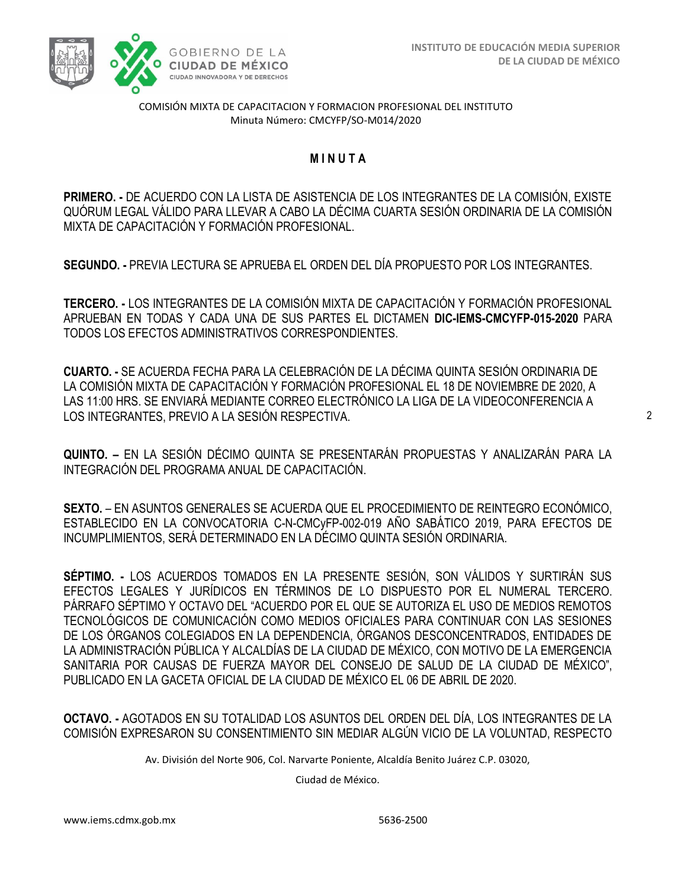

COMISIÓN MIXTA DE CAPACITACION Y FORMACION PROFESIONAL DEL INSTITUTO Minuta Número: CMCYFP/SO-M014/2020

## **M I N U T A**

**PRIMERO. -** DE ACUERDO CON LA LISTA DE ASISTENCIA DE LOS INTEGRANTES DE LA COMISIÓN, EXISTE QUÓRUM LEGAL VÁLIDO PARA LLEVAR A CABO LA DÉCIMA CUARTA SESIÓN ORDINARIA DE LA COMISIÓN MIXTA DE CAPACITACIÓN Y FORMACIÓN PROFESIONAL.

**SEGUNDO. -** PREVIA LECTURA SE APRUEBA EL ORDEN DEL DÍA PROPUESTO POR LOS INTEGRANTES.

**TERCERO. -** LOS INTEGRANTES DE LA COMISIÓN MIXTA DE CAPACITACIÓN Y FORMACIÓN PROFESIONAL APRUEBAN EN TODAS Y CADA UNA DE SUS PARTES EL DICTAMEN **DIC-IEMS-CMCYFP-015-2020** PARA TODOS LOS EFECTOS ADMINISTRATIVOS CORRESPONDIENTES.

**CUARTO. -** SE ACUERDA FECHA PARA LA CELEBRACIÓN DE LA DÉCIMA QUINTA SESIÓN ORDINARIA DE LA COMISIÓN MIXTA DE CAPACITACIÓN Y FORMACIÓN PROFESIONAL EL 18 DE NOVIEMBRE DE 2020, A LAS 11:00 HRS. SE ENVIARÁ MEDIANTE CORREO ELECTRÓNICO LA LIGA DE LA VIDEOCONFERENCIA A LOS INTEGRANTES, PREVIO A LA SESIÓN RESPECTIVA.

**QUINTO. –** EN LA SESIÓN DÉCIMO QUINTA SE PRESENTARÁN PROPUESTAS Y ANALIZARÁN PARA LA INTEGRACIÓN DEL PROGRAMA ANUAL DE CAPACITACIÓN.

**SEXTO.** – EN ASUNTOS GENERALES SE ACUERDA QUE EL PROCEDIMIENTO DE REINTEGRO ECONÓMICO, ESTABLECIDO EN LA CONVOCATORIA C-N-CMCyFP-002-019 AÑO SABÁTICO 2019, PARA EFECTOS DE INCUMPLIMIENTOS, SERÁ DETERMINADO EN LA DÉCIMO QUINTA SESIÓN ORDINARIA.

**SÉPTIMO. -** LOS ACUERDOS TOMADOS EN LA PRESENTE SESIÓN, SON VÁLIDOS Y SURTIRÁN SUS EFECTOS LEGALES Y JURÍDICOS EN TÉRMINOS DE LO DISPUESTO POR EL NUMERAL TERCERO. PÁRRAFO SÉPTIMO Y OCTAVO DEL "ACUERDO POR EL QUE SE AUTORIZA EL USO DE MEDIOS REMOTOS TECNOLÓGICOS DE COMUNICACIÓN COMO MEDIOS OFICIALES PARA CONTINUAR CON LAS SESIONES DE LOS ÓRGANOS COLEGIADOS EN LA DEPENDENCIA, ÓRGANOS DESCONCENTRADOS, ENTIDADES DE LA ADMINISTRACIÓN PÚBLICA Y ALCALDÍAS DE LA CIUDAD DE MÉXICO, CON MOTIVO DE LA EMERGENCIA SANITARIA POR CAUSAS DE FUERZA MAYOR DEL CONSEJO DE SALUD DE LA CIUDAD DE MÉXICO", PUBLICADO EN LA GACETA OFICIAL DE LA CIUDAD DE MÉXICO EL 06 DE ABRIL DE 2020.

**OCTAVO. -** AGOTADOS EN SU TOTALIDAD LOS ASUNTOS DEL ORDEN DEL DÍA, LOS INTEGRANTES DE LA COMISIÓN EXPRESARON SU CONSENTIMIENTO SIN MEDIAR ALGÚN VICIO DE LA VOLUNTAD, RESPECTO

Av. División del Norte 906, Col. Narvarte Poniente, Alcaldía Benito Juárez C.P. 03020,

Ciudad de México.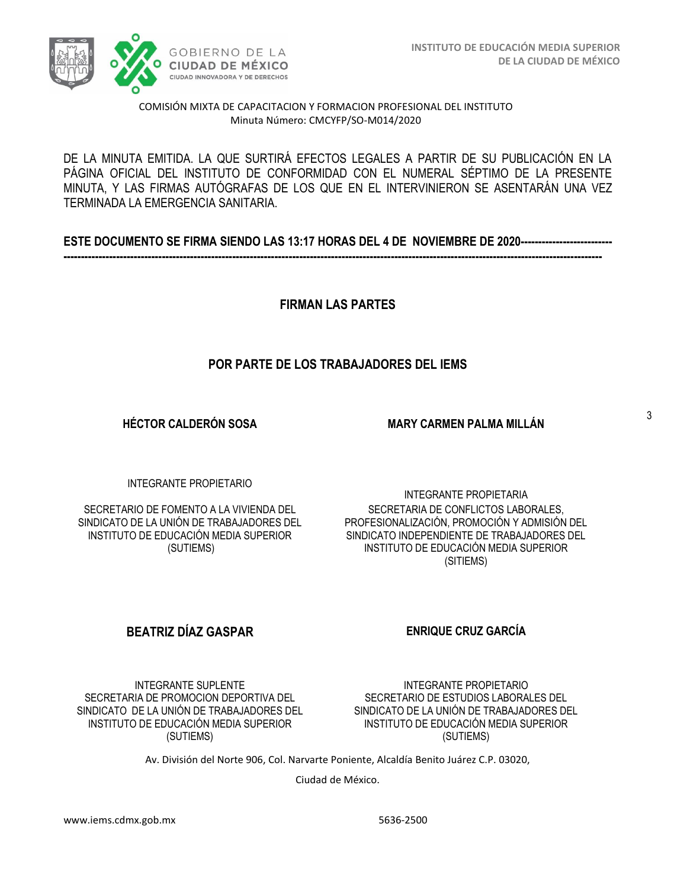

#### COMISIÓN MIXTA DE CAPACITACION Y FORMACION PROFESIONAL DEL INSTITUTO Minuta Número: CMCYFP/SO-M014/2020

DE LA MINUTA EMITIDA. LA QUE SURTIRÁ EFECTOS LEGALES A PARTIR DE SU PUBLICACIÓN EN LA PÁGINA OFICIAL DEL INSTITUTO DE CONFORMIDAD CON EL NUMERAL SÉPTIMO DE LA PRESENTE MINUTA, Y LAS FIRMAS AUTÓGRAFAS DE LOS QUE EN EL INTERVINIERON SE ASENTARÁN UNA VEZ TERMINADA LA EMERGENCIA SANITARIA.

| ESTE DOCUMENTO SE FIRMA SIENDO LAS 13:17 HORAS DEL 4 DE NOVIEMBRE DE 2020-------------------------- |  |  |
|-----------------------------------------------------------------------------------------------------|--|--|
|                                                                                                     |  |  |

**FIRMAN LAS PARTES**

# **POR PARTE DE LOS TRABAJADORES DEL IEMS**

**HÉCTOR CALDERÓN SOSA**

**MARY CARMEN PALMA MILLÁN**

INTEGRANTE PROPIETARIO

SECRETARIO DE FOMENTO A LA VIVIENDA DEL SINDICATO DE LA UNIÓN DE TRABAJADORES DEL INSTITUTO DE EDUCACIÓN MEDIA SUPERIOR (SUTIEMS)

INTEGRANTE PROPIETARIA SECRETARIA DE CONFLICTOS LABORALES, PROFESIONALIZACIÓN, PROMOCIÓN Y ADMISIÓN DEL SINDICATO INDEPENDIENTE DE TRABAJADORES DEL INSTITUTO DE EDUCACIÓN MEDIA SUPERIOR (SITIEMS)

# **BEATRIZ DÍAZ GASPAR ENRIQUE CRUZ GARCÍA**

INTEGRANTE SUPLENTE SECRETARIA DE PROMOCION DEPORTIVA DEL SINDICATO DE LA UNIÓN DE TRABAJADORES DEL INSTITUTO DE EDUCACIÓN MEDIA SUPERIOR (SUTIEMS)

INSTITUTO DE EDUCACIÓN MEDIA SUPERIOR (SUTIEMS)

Av. División del Norte 906, Col. Narvarte Poniente, Alcaldía Benito Juárez C.P. 03020,

Ciudad de México.

INTEGRANTE PROPIETARIO SECRETARIO DE ESTUDIOS LABORALES DEL SINDICATO DE LA UNIÓN DE TRABAJADORES DEL

3